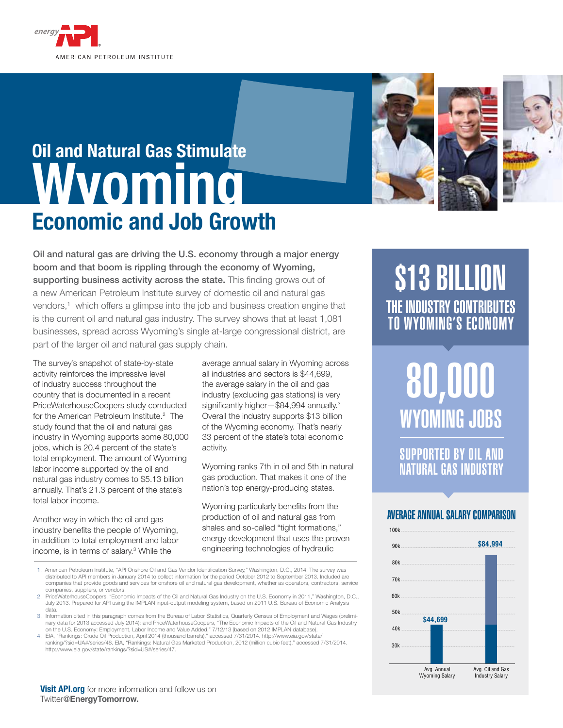

# **Oil and Natural Gas Stimulate Vomin Economic and Job Growth**





Oil and natural gas are driving the U.S. economy through a major energy boom and that boom is rippling through the economy of Wyoming, supporting business activity across the state. This finding grows out of a new American Petroleum Institute survey of domestic oil and natural gas vendors,<sup>1</sup> which offers a glimpse into the job and business creation engine that is the current oil and natural gas industry. The survey shows that at least 1,081 businesses, spread across Wyoming's single at-large congressional district, are part of the larger oil and natural gas supply chain.

The survey's snapshot of state-by-state activity reinforces the impressive level of industry success throughout the country that is documented in a recent PriceWaterhouseCoopers study conducted for the American Petroleum Institute.<sup>2</sup> The study found that the oil and natural gas industry in Wyoming supports some 80,000 jobs, which is 20.4 percent of the state's total employment. The amount of Wyoming labor income supported by the oil and natural gas industry comes to \$5.13 billion annually. That's 21.3 percent of the state's total labor income.

Another way in which the oil and gas industry benefits the people of Wyoming, in addition to total employment and labor income, is in terms of salary.3 While the

average annual salary in Wyoming across all industries and sectors is \$44,699, the average salary in the oil and gas industry (excluding gas stations) is very significantly higher—\$84,994 annually.<sup>3</sup> Overall the industry supports \$13 billion of the Wyoming economy. That's nearly 33 percent of the state's total economic activity.

Wyoming ranks 7th in oil and 5th in natural gas production. That makes it one of the nation's top energy-producing states.

Wyoming particularly benefits from the production of oil and natural gas from shales and so-called "tight formations," energy development that uses the proven engineering technologies of hydraulic

- 1. American Petroleum Institute, "API Onshore Oil and Gas Vendor Identification Survey," Washington, D.C., 2014. The survey was distributed to API members in January 2014 to collect information for the period October 2012 to September 2013. Included are companies that provide goods and services for onshore oil and natural gas development, whether as operators, contractors, service companies, suppliers, or vendors.
- 2. PriceWaterhouseCoopers, "Economic Impacts of the Oil and Natural Gas Industry on the U.S. Economy in 2011," Washington, D.C., July 2013. Prepared for API using the IMPLAN input-output modeling system, based on 2011 U.S. Bureau of Economic Analysis data.
- 3. Information cited in this paragraph comes from the Bureau of Labor Statistics, Quarterly Census of Employment and Wages (preliminary data for 2013 accessed July 2014); and PriceWaterhouseCoopers, "The Economic Impacts of the Oil and Natural Gas Industry<br>on the U.S. Economy: Employment, Labor Income and Value Added," 7/12/13 (based on 2012 IMPLAN da
- ranking/?sid=UA#/series/46. EIA, "Rankings: Natural Gas Marketed Production, 2012 (million cubic feet)," accessed 7/31/2014. http://www.eia.gov/state/rankings/?sid=US#/series/47.

# \$13 BILLION THE INDUSTRY CONTRIBUTES TO Wyoming'S ECONOMY

# 80,000 **WYOMING JOBS**

supported by oil and natural gas industry

#### AVERAGE ANNUAL SALARY COMPARISON

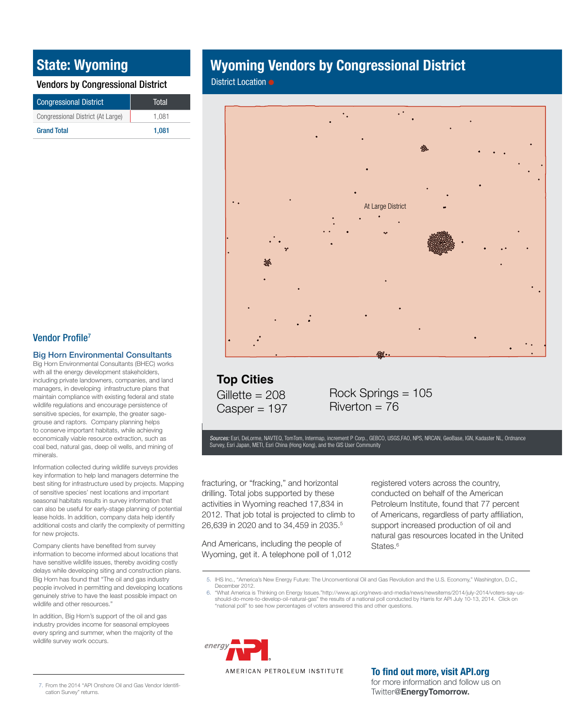## **State: Wyoming**

#### Vendors by Congressional District

| <b>Congressional District</b>     | <b>Total</b> |
|-----------------------------------|--------------|
| Congressional District (At Large) | 1.081        |
| <b>Grand Total</b>                | 1.081        |

## **Wyoming Vendors by Congressional District**

District Location ●



#### Vendor Profile7

#### Big Horn Environmental Consultants

Big Horn Environmental Consultants (BHEC) works with all the energy development stakeholders, including private landowners, companies, and land managers, in developing infrastructure plans that maintain compliance with existing federal and state wildlife regulations and encourage persistence of sensitive species, for example, the greater sagegrouse and raptors. Company planning helps to conserve important habitats, while achieving economically viable resource extraction, such as coal bed, natural gas, deep oil wells, and mining of minerals.

Information collected during wildlife surveys provides key information to help land managers determine the best siting for infrastructure used by projects. Mapping of sensitive species' nest locations and important seasonal habitats results in survey information that can also be useful for early-stage planning of potential lease holds. In addition, company data help identify additional costs and clarify the complexity of permitting for new projects.

Company clients have benefited from survey information to become informed about locations that have sensitive wildlife issues, thereby avoiding costly delays while developing siting and construction plans. Big Horn has found that "The oil and gas industry people involved in permitting and developing locations genuinely strive to have the least possible impact on wildlife and other resources."

In addition, Big Horn's support of the oil and gas industry provides income for seasonal employees every spring and summer, when the majority of the wildlife survey work occurs.

**Top Cities**

Gillette = 208  $Casper = 197$  Rock Springs = 105  $Riverton = 76$ 

Sources: Esri, DeLorme, NAVTEQ, TomTom, Intermap, increment P Corp., GEBCO, USGS,FAO, NPS, NRCAN, GeoBase, IGN, Kadaster NL, Ordnance Survey, Esri Japan, METI, Esri China (Hong Kong), and the GIS User Community

fracturing, or "fracking," and horizontal drilling. Total jobs supported by these activities in Wyoming reached 17,834 in 2012. That job total is projected to climb to 26,639 in 2020 and to 34,459 in 2035.<sup>5</sup>

And Americans, including the people of Wyoming, get it. A telephone poll of 1,012 registered voters across the country, conducted on behalf of the American Petroleum Institute, found that 77 percent of Americans, regardless of party affiliation, support increased production of oil and natural gas resources located in the United States.<sup>6</sup>

5. IHS Inc., "America's New Energy Future: The Unconventional Oil and Gas Revolution and the U.S. Economy," Washington, D.C., December 2012.

6. "What America is Thinking on Energy Issues."http://www.api.org/news-and-media/news/newsitems/2014/july-2014/voters-say-usshould-do-more-to-develop-oil-natural-gas" the results of a national poll conducted by Harris for API July 10-13, 2014. Click on "national poll" to see how percentages of voters answered this and other questions.



#### **To find out more, visit API.org**

for more information and follow us on Twitter@**EnergyTomorrow.**

 7. From the 2014 "API Onshore Oil and Gas Vendor Identification Survey" returns.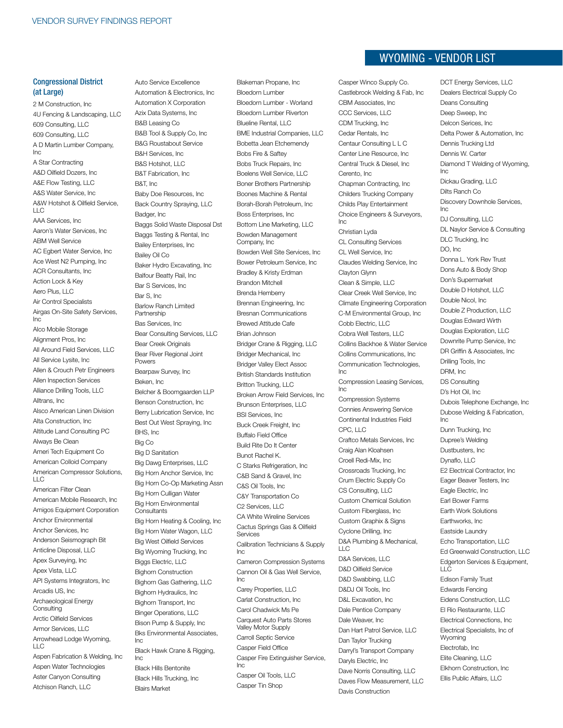#### Congressional District (at Large)

2 M Construction, Inc 4U Fencing & Landscaping, LLC 609 Consulting, LLC 609 Consulting, LLC A D Martin Lumber Company, Inc A Star Contracting A&D Oilfield Dozers, Inc A&E Flow Testing, LLC A&S Water Service, Inc A&W Hotshot & Oilfield Service, LLC AAA Services, Inc Aaron's Water Services, Inc. ABM Well Service AC Egbert Water Service, Inc Ace West N2 Pumping, Inc ACR Consultants, Inc Action Lock & Key Aero Plus, LLC Air Control Specialists Airgas On-Site Safety Services, Inc Alco Mobile Storage Alignment Pros, Inc All Around Field Services, LLC All Service Lysite, Inc Allen & Crouch Petr Engineers Allen Inspection Services Alliance Drilling Tools, LLC Alltrans, Inc Alsco American Linen Division Alta Construction, Inc Altitude Land Consulting PC Always Be Clean Ameri Tech Equipment Co American Colloid Company American Compressor Solutions,  $\Box$ American Filter Clean American Mobile Research, Inc Amigos Equipment Corporation Anchor Environmental Anchor Services, Inc. Anderson Seismograph Bit Anticline Disposal, LLC Apex Surveying, Inc Apex Vista, LLC API Systems Integrators, Inc Arcadis US, Inc Archaeological Energy **Consulting** Arctic Oilfield Services Armor Services, LLC Arrowhead Lodge Wyoming,  $\sqcup$  C Aspen Fabrication & Welding, Inc Aspen Water Technologies Aster Canyon Consulting Atchison Ranch, LLC

Auto Service Excellence Automation & Electronics, Inc Automation X Corporation Azix Data Systems, Inc B&B Leasing Co B&B Tool & Supply Co, Inc B&G Roustabout Service B&H Services, Inc B&S Hotshot, LLC B&T Fabrication, Inc **B&T**, Inc. Baby Doe Resources, Inc Back Country Spraying, LLC Badger, Inc Baggs Solid Waste Disposal Dst Baggs Testing & Rental, Inc Bailey Enterprises, Inc Bailey Oil Co Baker Hydro Excavating, Inc Balfour Beatty Rail, Inc Bar S Services, Inc Bar S, Inc. Barlow Ranch Limited Partnership Bas Services, Inc Bear Consulting Services, LLC Bear Creek Originals Bear River Regional Joint Powers Bearpaw Survey, Inc Beken, Inc Belcher & Boomgaarden LLP Benson Construction, Inc Berry Lubrication Service, Inc Best Out West Spraying, Inc BHS, Inc Big Co Big D Sanitation Big Dawg Enterprises, LLC Big Horn Anchor Service, Inc Big Horn Co-Op Marketing Assn Big Horn Culligan Water Big Horn Environmental **Consultants** Big Horn Heating & Cooling, Inc Big Horn Water Wagon, LLC Big West Oilfield Services Big Wyoming Trucking, Inc Biggs Electric, LLC Bighorn Construction Bighorn Gas Gathering, LLC Bighorn Hydraulics, Inc Bighorn Transport, Inc Binger Operations, LLC Bison Pump & Supply, Inc Bks Environmental Associates, Inc Black Hawk Crane & Rigging, Inc Black Hills Bentonite Black Hills Trucking, Inc Blairs Market

Blakeman Propane, Inc Bloedorn Lumber Bloedorn Lumber - Worland Bloedorn Lumber Riverton Blueline Rental, LLC BME Industrial Companies, LLC Bobetta Jean Etchemendy Bobs Fire & Saftey Bobs Truck Repairs, Inc Boelens Well Service, LLC Boner Brothers Partnership Boones Machine & Rental Borah-Borah Petroleum, Inc Boss Enterprises, Inc Bottom Line Marketing, LLC Bowden Management Company, Inc Bowden Well Site Services, Inc Bower Petroleum Service, Inc Bradley & Kristy Erdman Brandon Mitchell Brenda Hemberry Brennan Engineering, Inc Bresnan Communications Brewed Attitude Cafe Brian Johnson Bridger Crane & Rigging, LLC Bridger Mechanical, Inc Bridger Valley Elect Assoc British Standards Institution Britton Trucking, LLC Broken Arrow Field Services, Inc Brunson Enterprises, LLC BSI Services, Inc Buck Creek Freight, Inc Buffalo Field Office Build Rite Do It Center Bunot Rachel K. C Starks Refrigeration, Inc C&B Sand & Gravel, Inc C&S Oil Tools, Inc C&Y Transportation Co C2 Services, LLC CA White Wireline Services Cactus Springs Gas & Oilfield Services Calibration Technicians & Supply Inc Cameron Compression Systems Cannon Oil & Gas Well Service, Inc Carey Properties, LLC Carlat Construction, Inc Carol Chadwick Ms Pe Carquest Auto Parts Stores Valley Motor Supply Carroll Septic Service Casper Field Office Casper Fire Extinguisher Service, Inc Casper Oil Tools, LLC Casper Tin Shop

# **WYOMING - VENDOR LIST**

Casper Winco Supply Co. Castlebrook Welding & Fab, Inc CBM Associates, Inc CCC Services, LLC CDM Trucking, Inc Cedar Rentals, Inc Centaur Consulting L L C Center Line Resource, Inc Central Truck & Diesel, Inc Cerento, Inc Chapman Contracting, Inc Childers Trucking Company Childs Play Entertainment Choice Engineers & Surveyors, Inc Christian Lyda CL Consulting Services CL Well Service, Inc Claudes Welding Service, Inc Clayton Glynn Clean & Simple, LLC Clear Creek Well Service, Inc Climate Engineering Corporation C-M Environmental Group, Inc Cobb Electric, LLC Cobra Well Testers, LLC Collins Backhoe & Water Service Collins Communications, Inc Communication Technologies, Inc Compression Leasing Services, Inc Compression Systems Connies Answering Service Continental Industries Field CPC, LLC Craftco Metals Services, Inc Craig Alan Kloahsen Croell Redi-Mix, Inc Crossroads Trucking, Inc Crum Electric Supply Co CS Consulting, LLC Custom Chemical Solution Custom Fiberglass, Inc Custom Graphix & Signs Cyclone Drilling, Inc D&A Plumbing & Mechanical, LLC D&A Services, LLC D&D Oilfield Service D&D Swabbing, LLC D&DJ Oil Tools, Inc D&L Excavation, Inc. Dale Pentice Company Dale Weaver, Inc. Dan Hart Patrol Service, LLC Dan Taylor Trucking Darryl's Transport Company Daryls Electric, Inc Dave Norris Consulting, LLC Daves Flow Measurement, LLC Davis Construction

DCT Energy Services, LLC Dealers Electrical Supply Co Deans Consulting Deep Sweep, Inc Delcon Serices, Inc Delta Power & Automation, Inc Dennis Trucking Ltd Dennis W. Carter Diamond T Welding of Wyoming, Inc Dickau Grading, LLC Dilts Ranch Co Discovery Downhole Services, Inc DJ Consulting, LLC DL Naylor Service & Consulting DLC Trucking, Inc DO, Inc Donna L. York Rev Trust Dons Auto & Body Shop Don's Supermarket Double D Hotshot, LLC Double Nicol, Inc Double Z Production, LLC Douglas Edward Wirth Douglas Exploration, LLC Downrite Pump Service, Inc DR Griffin & Associates, Inc Drilling Tools, Inc DRM, Inc DS Consulting D's Hot Oil, Inc Dubois Telephone Exchange, Inc Dubose Welding & Fabrication, Inc Dunn Trucking, Inc Dupree's Welding Dustbusters, Inc Dynaflo, LLC E2 Electrical Contractor, Inc Eager Beaver Testers, Inc Eagle Electric, Inc Earl Bower Farms Earth Work Solutions Earthworks, Inc Eastside Laundry Echo Transportation, LLC Ed Greenwald Construction, LLC Edgerton Services & Equipment, LLC Edison Family Trust Edwards Fencing Eidens Construction, LLC El Rio Restaurante, LLC Electrical Connections, Inc Electrical Specialists, Inc of **Wyoming** Electrofab, Inc Elite Cleaning, LLC Elkhorn Construction, Inc Ellis Public Affairs, LLC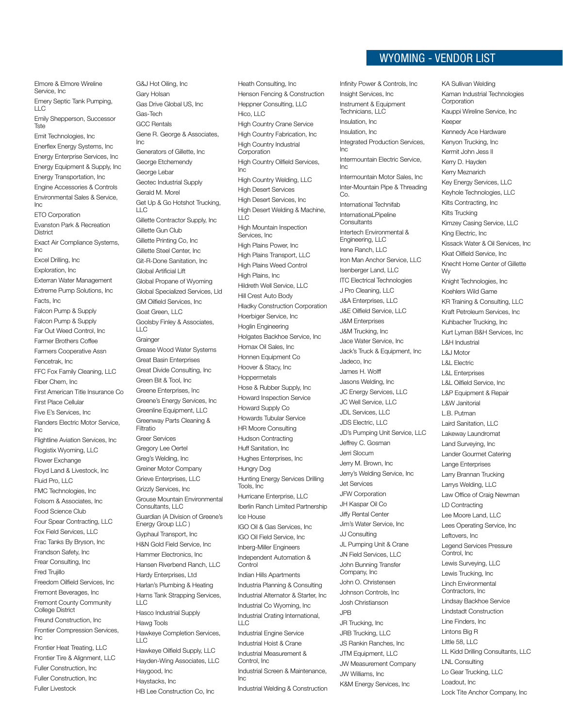Elmore & Elmore Wireline Service, Inc. Emery Septic Tank Pumping, LLC Emily Shepperson, Successor Tste Emit Technologies, Inc Enerflex Energy Systems, Inc Energy Enterprise Services, Inc Energy Equipment & Supply, Inc Energy Transportation, Inc Engine Accessories & Controls Environmental Sales & Service, Inc ETO Corporation Evanston Park & Recreation **District** Exact Air Compliance Systems, Inc Excel Drilling, Inc Exploration, Inc Exterran Water Management Extreme Pump Solutions, Inc Facts, Inc Falcon Pump & Supply Falcon Pump & Supply Far Out Weed Control, Inc Farmer Brothers Coffee Farmers Cooperative Assn Fencetrak, Inc FFC Fox Family Cleaning, LLC Fiber Chem, Inc First American Title Insurance Co First Place Cellular Five E's Services, Inc Flanders Electric Motor Service, Inc Flightline Aviation Services, Inc Flogistix Wyoming, LLC Flower Exchange Floyd Land & Livestock, Inc Fluid Pro, LLC FMC Technologies, Inc Folsom & Associates, Inc Food Science Club Four Spear Contracting, LLC Fox Field Services, LLC Frac Tanks By Bryson, Inc Frandson Safety, Inc Frear Consulting, Inc Fred Trujillo Freedom Oilfield Services, Inc Fremont Beverages, Inc Fremont County Community College District Freund Construction, Inc Frontier Compression Services, Inc Frontier Heat Treating, LLC Frontier Tire & Alignment, LLC Fuller Construction, Inc Fuller Construction, Inc Fuller Livestock

G&J Hot Oiling, Inc Gary Holsan Gas Drive Global US, Inc Gas-Tech GCC Rentals Gene R. George & Associates, Inc Generators of Gillette, Inc George Etchemendy George Lebar Geotec Industrial Supply Gerald M. Morel Get Up & Go Hotshot Trucking,  $\sqcup$  C Gillette Contractor Supply, Inc Gillette Gun Club Gillette Printing Co, Inc Gillette Steel Center, Inc Git-R-Done Sanitation, Inc Global Artificial Lift Global Propane of Wyoming Global Specialized Services, Lld GM Oilfield Services, Inc Goat Green, LLC Goolsby Finley & Associates,  $\sqcup$  C Grainger Grease Wood Water Systems Great Basin Enterprises Great Divide Consulting, Inc Green Bit & Tool, Inc Greene Enterprises, Inc Greene's Energy Services, Inc Greenline Equipment, LLC Greenway Parts Cleaning & Filtratio Greer Services Gregory Lee Oertel Greg's Welding, Inc Greiner Motor Company Grieve Enterprises, LLC Grizzly Services, Inc Grouse Mountain Environmental Consultants, LLC Guardian (A Division of Greene's Energy Group LLC ) Gyphaul Transport, Inc H&N Gold Field Service, Inc Hammer Electronics, Inc Hansen Riverbend Ranch, LLC Hardy Enterprises, Ltd Harlan's Plumbing & Heating Harns Tank Strapping Services, LLC Hasco Industrial Supply Hawg Tools Hawkeye Completion Services, LLC Hawkeye Oilfield Supply, LLC Hayden-Wing Associates, LLC Haygood, Inc Haystacks, Inc HB Lee Construction Co, Inc

Heath Consulting, Inc Henson Fencing & Construction Heppner Consulting, LLC Hico, LLC High Country Crane Service High Country Fabrication, Inc High Country Industrial Corporation High Country Oilfield Services, Inc High Country Welding, LLC High Desert Services High Desert Services, Inc High Desert Welding & Machine,  $\sqcup$  C High Mountain Inspection Services, Inc High Plains Power, Inc High Plains Transport, LLC High Plains Weed Control High Plains, Inc Hildreth Well Service, LLC Hill Crest Auto Body Hladky Construction Corporation Hoerbiger Service, Inc Hoglin Engineering Holgates Backhoe Service, Inc Homax Oil Sales, Inc Honnen Equipment Co Hoover & Stacy, Inc Hoppermetals Hose & Rubber Supply, Inc Howard Inspection Service Howard Supply Co Howards Tubular Service HR Moore Consulting Hudson Contracting Huff Sanitation, Inc Hughes Enterprises, Inc Hungry Dog Hunting Energy Services Drilling Tools, Inc Hurricane Enterprise, LLC Iberlin Ranch Limited Partnership Ice House IGO Oil & Gas Services, Inc IGO Oil Field Service, Inc Inberg-Miller Engineers Independent Automation & **Control** Indian Hills Apartments Industria Planning & Consulting Industrial Alternator & Starter, Inc Industrial Co Wyoming, Inc Industrial Crating International, LLC Industrial Engine Service Industrial Hoist & Crane Industrial Measurement & Control, Inc Industrial Screen & Maintenance, Inc Industrial Welding & Construction

## Wyoming - VENDOR LIST

Infinity Power & Controls, Inc Insight Services, Inc Instrument & Equipment Technicians, LLC Insulation, Inc Insulation, Inc Integrated Production Services, Inc Intermountain Electric Service,  $Inc$ Intermountain Motor Sales, Inc Inter-Mountain Pipe & Threading Co. International Technifab InternationaLPipeline Consultants Intertech Environmental & Engineering, LLC Irene Ranch, LLC Iron Man Anchor Service, LLC Isenberger Land, LLC ITC Electrical Technologies J Pro Cleaning, LLC J&A Enterprises, LLC J&E Oilfield Service, LLC J&M Enterprises J&M Trucking, Inc Jace Water Service, Inc Jack's Truck & Equipment, Inc Jadeco, Inc James H. Wolff Jasons Welding, Inc JC Energy Services, LLC JC Well Service, LLC JDL Services, LLC JDS Electric, LLC JD's Pumping Unit Service, LLC Jeffrey C. Gosman Jerri Slocum Jerry M. Brown, Inc Jerry's Welding Service, Inc Jet Services JFW Corporation JH Kaspar Oil Co Jiffy Rental Center Jim's Water Service, Inc JJ Consulting JL Pumping Unit & Crane JN Field Services, LLC John Bunning Transfer Company, Inc John O. Christensen Johnson Controls, Inc Josh Christianson JPB JR Trucking, Inc JRB Trucking, LLC JS Rankin Ranches, Inc JTM Equipment, LLC JW Measurement Company JW Williams, Inc K&M Energy Services, Inc

KA Sullivan Welding Kaman Industrial Technologies Corporation Kauppi Wireline Service, Inc Keeper Kennedy Ace Hardware Kenyon Trucking, Inc Kermit John Jess II Kerry D. Hayden Kerry Meznarich Key Energy Services, LLC Keyhole Technologies, LLC Kilts Contracting, Inc Kilts Trucking Kimzey Casing Service, LLC King Electric, Inc Kissack Water & Oil Services, Inc Kkat Oilfield Service, Inc Knecht Home Center of Gillette W<sub>v</sub> Knight Technologies, Inc Koehlers Wild Game KR Training & Consulting, LLC Kraft Petroleum Services, Inc Kuhbacher Trucking, Inc Kurt Lyman B&H Services, Inc L&H Industrial L&J Motor L&L Electric L&L Enterprises L&L Oilfield Service, Inc L&P Equipment & Repair L&W Janitorial L.B. Putman Laird Sanitation, LLC Lakeway Laundromat Land Surveying, Inc Lander Gourmet Catering Lange Enterprises Larry Brannan Trucking Larrys Welding, LLC Law Office of Craig Newman LD Contracting Lee Moore Land, LLC Lees Operating Service, Inc Leftovers, Inc Legend Services Pressure Control, Inc Lewis Surveying, LLC Lewis Trucking, Inc Linch Environmental Contractors, Inc. Lindsay Backhoe Service Lindstadt Construction Line Finders, Inc Lintons Big R Little 58, LLC LL Kidd Drilling Consultants, LLC LNL Consulting Lo Gear Trucking, LLC Loadout, Inc Lock Tite Anchor Company, Inc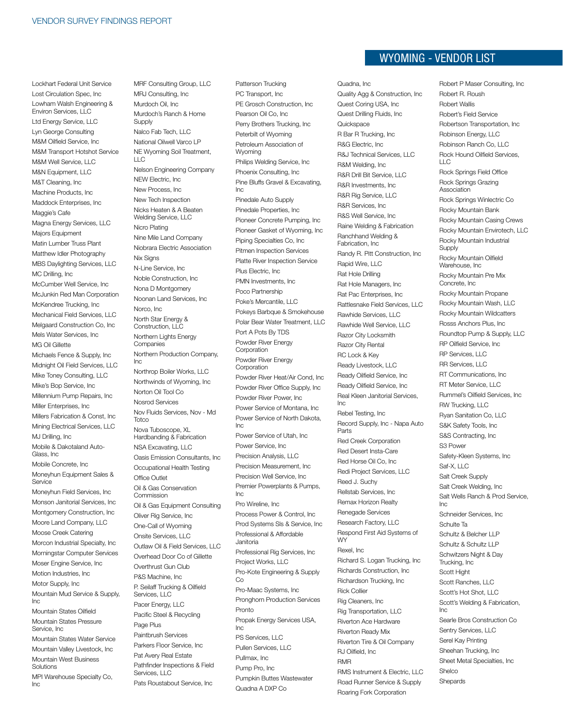Lockhart Federal Unit Service Lost Circulation Spec, Inc Lowham Walsh Engineering & Environ Services, LLC Ltd Energy Service, LLC Lyn George Consulting M&M Oilfield Service, Inc M&M Transport Hotshot Service M&M Well Service, LLC M&N Equipment, LLC M&T Cleaning, Inc Machine Products, Inc Maddock Enterprises, Inc Maggie's Cafe Magna Energy Services, LLC Majors Equipment Matin Lumber Truss Plant Matthew Idler Photography MBS Daylighting Services, LLC MC Drilling, Inc. McCumber Well Service, Inc McJunkin Red Man Corporation McKendree Trucking, Inc Mechanical Field Services, LLC Melgaard Construction Co, Inc Mels Water Services, Inc MG Oil Gillette Michaels Fence & Supply, Inc Midnight Oil Field Services, LLC Mike Toney Consulting, LLC Mike's Bop Service, Inc Millennium Pump Repairs, Inc Miller Enterprises, Inc Millers Fabrication & Const, Inc Mining Electrical Services, LLC MJ Drilling, Inc Mobile & Dakotaland Auto-Glass, Inc Mobile Concrete, Inc Moneyhun Equipment Sales & **Service** Moneyhun Field Services, Inc Monson Janitorial Services, Inc Montgomery Construction, Inc Moore Land Company, LLC Moose Creek Catering Morcon Industrial Specialty, Inc Morningstar Computer Services Moser Engine Service, Inc Motion Industries, Inc Motor Supply, Inc Mountain Mud Service & Supply, Inc Mountain States Oilfield Mountain States Pressure Service, Inc Mountain States Water Service Mountain Valley Livestock, Inc Mountain West Business Solutions

MPI Warehouse Specialty Co, Inc

MRF Consulting Group, LLC MRJ Consulting, Inc Murdoch Oil, Inc Murdoch's Ranch & Home **Supply** Nalco Fab Tech, LLC National Oilwell Varco LP NE Wyoming Soil Treatment, LLC Nelson Engineering Company NEW Electric, Inc New Process, Inc New Tech Inspection Nicks Heaten & A Beaten Welding Service, LLC Nicro Plating Nine Mile Land Company Niobrara Electric Association Nix Signs N-Line Service, Inc Noble Construction, Inc Nona D Montgomery Noonan Land Services, Inc Norco, Inc North Star Energy & Construction, LLC Northern Lights Energy **Companies** Northern Production Company, Inc Northrop Boiler Works, LLC Northwinds of Wyoming, Inc Norton Oil Tool Co Nosrod Services Nov Fluids Services, Nov - Md **Totco** Nova Tuboscope, XL Hardbanding & Fabrication NSA Excavating, LLC Oasis Emission Consultants, Inc Occupational Health Testing Office Outlet Oil & Gas Conservation Commission Oil & Gas Equipment Consulting Oliver Rig Service, Inc One-Call of Wyoming Onsite Services, LLC Outlaw Oil & Field Services, LLC Overhead Door Co of Gillette Overthrust Gun Club P&S Machine, Inc P. Seilaff Trucking & Oilfield Services, LLC Pacer Energy, LLC Pacific Steel & Recycling Page Plus Paintbrush Services Parkers Floor Service, Inc Pat Avery Real Estate Pathfinder Inspections & Field Services, LLC Pats Roustabout Service, Inc

Patterson Trucking PC Transport, Inc PE Grosch Construction, Inc Pearson Oil Co, Inc Perry Brothers Trucking, Inc Peterbilt of Wyoming Petroleum Association of Wyoming Philips Welding Service, Inc Phoenix Consulting, Inc Pine Bluffs Gravel & Excavating, Inc Pinedale Auto Supply Pinedale Properties, Inc Pioneer Concrete Pumping, Inc Pioneer Gasket of Wyoming, Inc Piping Specialties Co, Inc Pitmen Inspection Services Platte River Inspection Service Plus Electric, Inc PMN Investments, Inc Poco Partnership Poke's Mercantile, LLC Pokeys Barbque & Smokehouse Polar Bear Water Treatment, LLC Port A Pots By TDS Powder River Energy **Corporation** Powder River Energy Corporation Powder River Heat/Air Cond, Inc Powder River Office Supply, Inc Powder River Power, Inc Power Service of Montana, Inc Power Service of North Dakota, Inc Power Service of Utah, Inc Power Service, Inc Precision Analysis, LLC Precision Measurement, Inc Precision Well Service, Inc Premier Powerplants & Pumps, Inc Pro Wireline, Inc Process Power & Control, Inc Prod Systems Sls & Service, Inc Professional & Affordable Janitoria Professional Rig Services, Inc Project Works, LLC Pro-Kote Engineering & Supply Co Pro-Maac Systems, Inc Pronghorn Production Services Pronto Propak Energy Services USA, Inc PS Services, LLC Pullen Services, LLC Pullmax, Inc Pump Pro, Inc Pumpkin Buttes Wastewater Quadna A DXP Co

#### Wyoming - VENDOR LIST

Quadna, Inc Quality Agg & Construction, Inc Quest Coring USA, Inc Quest Drilling Fluids, Inc **Quickspace** R Bar R Trucking, Inc R&G Electric, Inc R&J Technical Services, LLC R&M Welding, Inc R&R Drill Bit Service, LLC R&R Investments, Inc R&R Rig Service, LLC R&R Services, Inc R&S Well Service, Inc Raine Welding & Fabrication Ranchhand Welding & Fabrication, Inc Randy R. Pitt Construction, Inc Rapid Wire, LLC Rat Hole Drilling Rat Hole Managers, Inc Rat Pac Enterprises, Inc Rattlesnake Field Services, LLC Rawhide Services, LLC Rawhide Well Service, LLC Razor City Locksmith Razor City Rental RC Lock & Key Ready Livestock, LLC Ready Oilfield Service, Inc Ready Oilfield Service, Inc Real Kleen Janitorial Services, Inc Rebel Testing, Inc Record Supply, Inc - Napa Auto Parts Red Creek Corporation Red Desert Insta-Care Red Horse Oil Co, Inc Redi Project Services, LLC Reed J. Suchy Rellstab Services, Inc Remax Horizon Realty Renegade Services Research Factory, LLC Respond First Aid Systems of WY Rexel, Inc Richard S. Logan Trucking, Inc Richards Construction, Inc Richardson Trucking, Inc Rick Collier Rig Cleaners, Inc Rig Transportation, LLC Riverton Ace Hardware Riverton Ready Mix Riverton Tire & Oil Company RJ Oilfield, Inc RMR RMS Instrument & Electric, LLC Road Runner Service & Supply Roaring Fork Corporation

Robert P Maser Consulting, Inc Robert R. Roush Robert Wallis Robert's Field Service Robertson Transportation, Inc Robinson Energy, LLC Robinson Ranch Co, LLC Rock Hound Oilfield Services, LLC Rock Springs Field Office Rock Springs Grazing Association Rock Springs Winlectric Co Rocky Mountain Bank Rocky Mountain Casing Crews Rocky Mountain Envirotech, LLC Rocky Mountain Industrial **Supply** Rocky Mountain Oilfield Warehouse, Inc Rocky Mountain Pre Mix Concrete, Inc Rocky Mountain Propane Rocky Mountain Wash, LLC Rocky Mountain Wildcatters Rosss Anchors Plus, Inc Roundtop Pump & Supply, LLC RP Oilfield Service, Inc RP Services, LLC RR Services, LLC RT Communications, Inc RT Meter Service, LLC Rummel's Oilfield Services, Inc RW Trucking, LLC Ryan Sanitation Co, LLC S&K Safety Tools, Inc S&S Contracting, Inc S3 Power Safety-Kleen Systems, Inc Saf-X, LLC Salt Creek Supply Salt Creek Welding, Inc Salt Wells Ranch & Prod Service, Inc Schneider Services, Inc Schulte Ta Schultz & Belcher LLP Schultz & Schultz LLP Schwitzers Night & Day Trucking, Inc Scott Hight Scott Ranches, LLC Scott's Hot Shot, LLC Scott's Welding & Fabrication, Inc Searle Bros Construction Co Sentry Services, LLC Serel Kay Printing Sheehan Trucking, Inc Sheet Metal Specialties, Inc **Shelco** Shepards